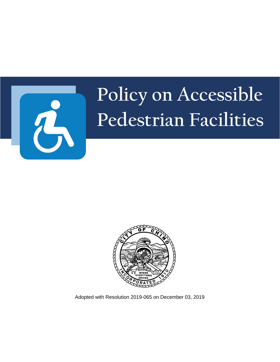

# **Policy on Accessible Pedestrian Facilities**



Adopted with Resolution 2019-065 on December 03, 2019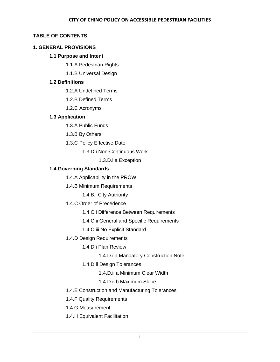# **TABLE OF CONTENTS**

# **1. GENERAL PROVISIONS**

# **1.1 Purpose and Intent**

- 1.1.A Pedestrian Rights
- 1.1.B Universal Design

# **1.2 Definitions**

- 1.2.A Undefined Terms
- 1.2.B Defined Terms
- 1.2.C Acronyms

# **1.3 Application**

- 1.3.A Public Funds
- 1.3.B By Others
- 1.3.C Policy Effective Date

1.3.D.i Non-Continuous Work

1.3.D.i.a Exception

# **1.4 Governing Standards**

1.4.A Applicability in the PROW

1.4.B Minimum Requirements

1.4.B.i City Authority

- 1.4.C Order of Precedence
	- 1.4.C.i Difference Between Requirements
	- 1.4.C.ii General and Specific Requirements
	- 1.4.C.iii No Explicit Standard
- 1.4.D Design Requirements
	- 1.4.D.i Plan Review
		- 1.4.D.i.a Mandatory Construction Note
	- 1.4.D.ii Design Tolerances
		- 1.4.D.ii.a Minimum Clear Width

# 1.4.D.ii.b Maximum Slope

- 1.4.E Construction and Manufacturing Tolerances
- 1.4.F Quality Requirements
- 1.4.G Measurement
- 1.4.H Equivalent Facilitation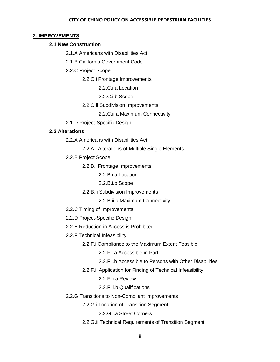#### **2. IMPROVEMENTS**

## **2.1 New Construction**

2.1.A Americans with Disabilities Act

2.1.B California Government Code

2.2.C Project Scope

2.2.C.i Frontage Improvements

2.2.C.i.a Location

2.2.C.i.b Scope

## 2.2.C.ii Subdivision Improvements

2.2.C.ii.a Maximum Connectivity

2.1.D Project-Specific Design

## **2.2 Alterations**

2.2.A Americans with Disabilities Act

2.2.A.i Alterations of Multiple Single Elements

2.2.B Project Scope

2.2.B.i Frontage Improvements

2.2.B.i.a Location

2.2.B.i.b Scope

2.2.B.ii Subdivision Improvements

2.2.B.ii.a Maximum Connectivity

- 2.2.C Timing of Improvements
- 2.2.D Project-Specific Design
- 2.2.E Reduction in Access is Prohibited
- 2.2.F Technical Infeasibility
	- 2.2.F.i Compliance to the Maximum Extent Feasible

2.2.F.i.a Accessible in Part

- 2.2.F.i.b Accessible to Persons with Other Disabilities
- 2.2.F.ii Application for Finding of Technical Infeasibility

2.2.F.ii.a Review

2.2.F.ii.b Qualifications

2.2.G Transitions to Non-Compliant Improvements

2.2.G.i Location of Transition Segment

2.2.G.i.a Street Corners

2.2.G.ii Technical Requirements of Transition Segment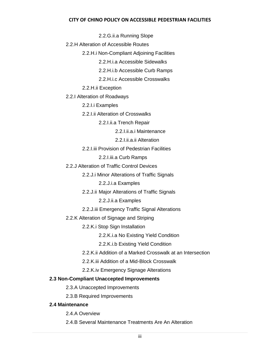2.2.G.ii.a Running Slope

2.2.H Alteration of Accessible Routes

2.2.H.i Non-Compliant Adjoining Facilities

2.2.H.i.a Accessible Sidewalks

2.2.H.i.b Accessible Curb Ramps

2.2.H.i.c Accessible Crosswalks

2.2.H.ii Exception

2.2.I Alteration of Roadways

2.2.I.i Examples

2.2.I.ii Alteration of Crosswalks

2.2.I.ii.a Trench Repair

2.2.I.ii.a.i Maintenance

2.2.I.ii.a.ii Alteration

2.2.I.iii Provision of Pedestrian Facilities

2.2.I.iii.a Curb Ramps

2.2.J Alteration of Traffic Control Devices

2.2.J.i Minor Alterations of Traffic Signals

2.2.J.i.a Examples

2.2.J.ii Major Alterations of Traffic Signals

2.2.J.ii.a Examples

2.2.J.iii Emergency Traffic Signal Alterations

2.2.K Alteration of Signage and Striping

2.2.K.i Stop Sign Installation

2.2.K.i.a No Existing Yield Condition

2.2.K.i.b Existing Yield Condition

2.2.K.ii Addition of a Marked Crosswalk at an Intersection

2.2.K.iii Addition of a Mid-Block Crosswalk

2.2.K.iv Emergency Signage Alterations

## **2.3 Non-Compliant Unaccepted Improvements**

2.3.A Unaccepted Improvements

2.3.B Required Improvements

# **2.4 Maintenance**

2.4.A Overview

2.4.B Several Maintenance Treatments Are An Alteration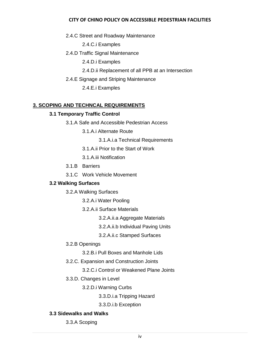2.4.C Street and Roadway Maintenance

2.4.C.i Examples

2.4.D Traffic Signal Maintenance

2.4.D.i Examples

- 2.4.D.ii Replacement of all PPB at an Intersection
- 2.4.E Signage and Striping Maintenance

2.4.E.i Examples

# **3. SCOPING AND TECHNCAL REQUIREMENTS**

## **3.1 Temporary Traffic Control**

- 3.1.A Safe and Accessible Pedestrian Access
	- 3.1.A.i Alternate Route
		- 3.1.A.i.a Technical Requirements
	- 3.1.A.ii Prior to the Start of Work
	- 3.1.A.iii Notification
- 3.1.B Barriers
- 3.1.C Work Vehicle Movement

# **3.2 Walking Surfaces**

- 3.2.A Walking Surfaces
	- 3.2.A.i Water Pooling
	- 3.2.A.ii Surface Materials
		- 3.2.A.ii.a Aggregate Materials
		- 3.2.A.ii.b Individual Paving Units
		- 3.2.A.ii.c Stamped Surfaces
- 3.2.B Openings
	- 3.2.B.i Pull Boxes and Manhole Lids
- 3.2.C. Expansion and Construction Joints
	- 3.2.C.i Control or Weakened Plane Joints
- 3.3.D. Changes in Level
	- 3.2.D.i Warning Curbs
		- 3.3.D.i.a Tripping Hazard
		- 3.3.D.i.b Exception

# **3.3 Sidewalks and Walks**

3.3.A Scoping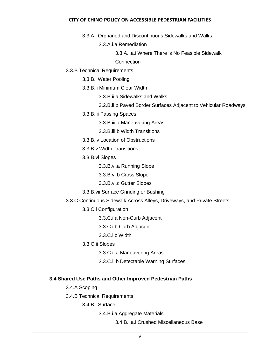3.3.A.i Orphaned and Discontinuous Sidewalks and Walks

3.3.A.i.a Remediation

3.3.A.i.a.i Where There is No Feasible Sidewalk

**Connection** 

3.3.B Technical Requirements

3.3.B.i Water Pooling

3.3.B.ii Minimum Clear Width

3.3.B.ii.a Sidewalks and Walks

3.2.B.ii.b Paved Border Surfaces Adjacent to Vehicular Roadways

3.3.B.iii Passing Spaces

3.3.B.iii.a Maneuvering Areas

3.3.B.iii.b Width Transitions

3.3.B.iv Location of Obstructions

3.3.B.v Width Transitions

3.3.B.vi Slopes

3.3.B.vi.a Running Slope

3.3.B.vi.b Cross Slope

3.3.B.vi.c Gutter Slopes

3.3.B.vii Surface Grinding or Bushing

3.3.C Continuous Sidewalk Across Alleys, Driveways, and Private Streets

3.3.C.i Configuration

3.3.C.i.a Non-Curb Adjacent

3.3.C.i.b Curb Adjacent

3.3.C.i.c Width

3.3.C.ii Slopes

3.3.C.ii.a Maneuvering Areas

3.3.C.ii.b Detectable Warning Surfaces

#### **3.4 Shared Use Paths and Other Improved Pedestrian Paths**

3.4.A Scoping

3.4.B Technical Requirements

3.4.B.i Surface

3.4.B.i.a Aggregate Materials

3.4.B.i.a.i Crushed Miscellaneous Base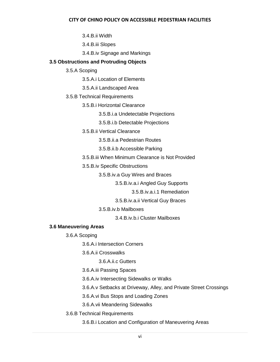3.4.B.ii Width

3.4.B.iii Slopes

3.4.B.iv Signage and Markings

# **3.5 Obstructions and Protruding Objects**

- 3.5.A Scoping
	- 3.5.A.i Location of Elements
	- 3.5.A.ii Landscaped Area
- 3.5.B Technical Requirements
	- 3.5.B.i Horizontal Clearance
		- 3.5.B.i.a Undetectable Projections
		- 3.5.B.i.b Detectable Projections
	- 3.5.B.ii Vertical Clearance
		- 3.5.B.ii.a Pedestrian Routes
		- 3.5.B.ii.b Accessible Parking
	- 3.5.B.iii When Minimum Clearance is Not Provided
	- 3.5.B.iv Specific Obstructions
		- 3.5.B.iv.a Guy Wires and Braces
			- 3.5.B.iv.a.i Angled Guy Supports
				- 3.5.B.iv.a.i.1 Remediation
			- 3.5.B.iv.a.ii Vertical Guy Braces
		- 3.5.B.iv.b Mailboxes
			- 3.4.B.iv.b.i Cluster Mailboxes

# **3.6 Maneuvering Areas**

- 3.6.A Scoping
	- 3.6.A.i Intersection Corners
	- 3.6.A.ii Crosswalks
		- 3.6.A.ii.c Gutters
	- 3.6.A.iii Passing Spaces
	- 3.6.A.iv Intersecting Sidewalks or Walks
	- 3.6.A.v Setbacks at Driveway, Alley, and Private Street Crossings
	- 3.6.A.vi Bus Stops and Loading Zones
	- 3.6.A.vii Meandering Sidewalks
- 3.6.B Technical Requirements
	- 3.6.B.i Location and Configuration of Maneuvering Areas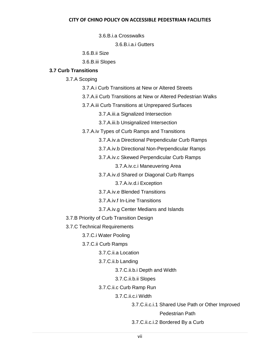3.6.B.i.a Crosswalks

3.6.B.i.a.i Gutters

3.6.B.ii Size

3.6.B.iii Slopes

# **3.7 Curb Transitions**

3.7.A Scoping

- 3.7.A.i Curb Transitions at New or Altered Streets
- 3.7.A.ii Curb Transitions at New or Altered Pedestrian Walks
- 3.7.A.iii Curb Transitions at Unprepared Surfaces

3.7.A.iii.a Signalized Intersection

3.7.A.iii.b Unsignalized Intersection

- 3.7.A.iv Types of Curb Ramps and Transitions
	- 3.7.A.iv.a Directional Perpendicular Curb Ramps
	- 3.7.A.iv.b Directional Non-Perpendicular Ramps
	- 3.7.A.iv.c Skewed Perpendicular Curb Ramps

3.7.A.iv.c.i Maneuvering Area

3.7.A.iv.d Shared or Diagonal Curb Ramps

3.7.A.iv.d.i Exception

- 3.7.A.iv.e Blended Transitions
- 3.7.A.iv.f In-Line Transitions
- 3.7.A.iv.g Center Medians and Islands

3.7.B Priority of Curb Transition Design

- 3.7.C Technical Requirements
	- 3.7.C.i Water Pooling
	- 3.7.C.ii Curb Ramps

3.7.C.ii.a Location

3.7.C.ii.b Landing

3.7.C.ii.b.i Depth and Width

- 3.7.C.ii.b.ii Slopes
- 3.7.C.ii.c Curb Ramp Run

3.7.C.ii.c.i Width

3.7.C.ii.c.i.1 Shared Use Path or Other Improved

Pedestrian Path

3.7.C.ii.c.i.2 Bordered By a Curb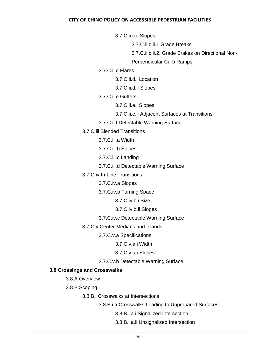3.7.C.ii.c.ii Slopes

3.7.C.ii.c.ii.1 Grade Breaks

3.7.C.ii.c.ii.2. Grade Brakes on Directional Non-

Perpendicular Curb Ramps

3.7.C.ii.d Flares

3.7.C.ii.d.i Location

3.7.C.ii.d.ii Slopes

3.7.C.ii.e Gutters

3.7.C.ii.e.i Slopes

3.7.C.ii.e.ii Adjacent Surfaces at Transitions

3.7.C.ii.f Detectable Warning Surface

3.7.C.iii Blended Transitions

3.7.C.iii.a Width

3.7.C.iii.b Slopes

3.7.C.iii.c Landing

3.7.C.iii.d Detectable Warning Surface

3.7.C.iv In-Line Transitions

3.7.C.iv.a Slopes

3.7.C.iv.b Turning Space

3.7.C.iv.b.i Size

3.7.C.iv.b.ii Slopes

3.7.C.iv.c Detectable Warning Surface

3.7.C.v Center Medians and Islands

3.7.C.v.a Specifications

3.7.C.v.a.i Width

3.7.C.v.a.i Slopes

3.7.C.v.b Detectable Warning Surface

# **3.8 Crossings and Crosswalks**

3.8.A Overview

3.8.B Scoping

3.8.B.i Crosswalks at Intersections

3.8.B.i.a Crosswalks Leading to Unprepared Surfaces

3.8.B.i.a.i Signalized Intersection

3.8.B.i.a.ii Unsignalized Intersection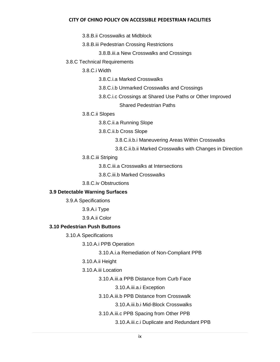3.8.B.ii Crosswalks at Midblock

3.8.B.iii Pedestrian Crossing Restrictions

3.8.B.iii.a New Crosswalks and Crossings

3.8.C Technical Requirements

3.8.C.i Width

3.8.C.i.a Marked Crosswalks

3.8.C.i.b Unmarked Crosswalks and Crossings

3.8.C.i.c Crossings at Shared Use Paths or Other Improved

Shared Pedestrian Paths

3.8.C.ii Slopes

3.8.C.ii.a Running Slope

3.8.C.ii.b Cross Slope

3.8.C.ii.b.i Maneuvering Areas Within Crosswalks

3.8.C.ii.b.ii Marked Crosswalks with Changes in Direction

3.8.C.iii Striping

3.8.C.iii.a Crosswalks at Intersections

3.8.C.iii.b Marked Crosswalks

3.8.C.iv Obstructions

#### **3.9 Detectable Warning Surfaces**

3.9.A Specifications

3.9.A.i Type

3.9.A.ii Color

## **3.10 Pedestrian Push Buttons**

3.10.A Specifications

3.10.A.i PPB Operation

3.10.A.i.a Remediation of Non-Compliant PPB

3.10.A.ii Height

3.10.A.iii Location

3.10.A.iii.a PPB Distance from Curb Face

3.10.A.iii.a.i Exception

3.10.A.iii.b PPB Distance from Crosswalk

3.10.A.iii.b.i Mid-Block Crosswalks

3.10.A.iii.c PPB Spacing from Other PPB

3.10.A.iii.c.i Duplicate and Redundant PPB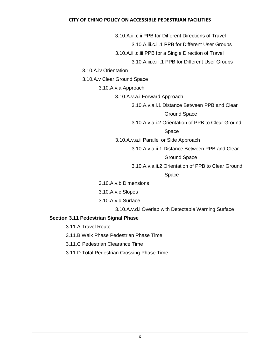3.10.A.iii.c.ii PPB for Different Directions of Travel

3.10.A.iii.c.ii.1 PPB for Different User Groups

3.10.A.iii.c.iii PPB for a Single Direction of Travel

3.10.A.iii.c.iii.1 PPB for Different User Groups

3.10.A.iv Orientation

3.10.A.v Clear Ground Space

3.10.A.v.a Approach

3.10.A.v.a.i Forward Approach

3.10.A.v.a.i.1 Distance Between PPB and Clear

Ground Space

3.10.A.v.a.i.2 Orientation of PPB to Clear Ground

Space

3.10.A.v.a.ii Parallel or Side Approach

3.10.A.v.a.ii.1 Distance Between PPB and Clear

Ground Space

3.10.A.v.a.ii.2 Orientation of PPB to Clear Ground

Space

3.10.A.v.b Dimensions

3.10.A.v.c Slopes

3.10.A.v.d Surface

3.10.A.v.d.i Overlap with Detectable Warning Surface

## **Section 3.11 Pedestrian Signal Phase**

3.11.A Travel Route

3.11.B Walk Phase Pedestrian Phase Time

3.11.C Pedestrian Clearance Time

3.11.D Total Pedestrian Crossing Phase Time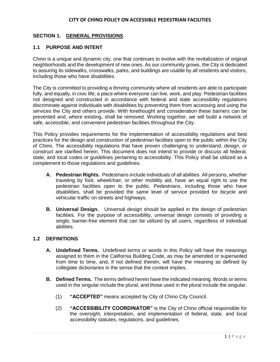## **SECTION 1. GENERAL PROVISIONS**

## **1.1 PURPOSE AND INTENT**

Chino is a unique and dynamic city, one that continues to evolve with the revitalization of original neighborhoods and the development of new ones. As our community grows, the City is dedicated to assuring its sidewalks, crosswalks, parks, and buildings are usable by all residents and visitors, including those who have disabilities.

The City is committed to providing a thriving community where all residents are able to participate fully, and equally, in civic life; a place where everyone can live, work, and play. Pedestrian facilities not designed and constructed in accordance with federal and state accessibility regulations discriminate against individuals with disabilities by preventing them from accessing and using the services the City and others provide. With forethought and consideration these barriers can be prevented and, where existing, shall be removed. Working together, we will build a network of safe, accessible, and convenient pedestrian facilities throughout the City.

This Policy provides requirements for the implementation of accessibility regulations and best practices for the design and construction of pedestrian facilities open to the public within the City of Chino. The accessibility regulations that have proven challenging to understand, design, or construct are clarified herein. This document does not intend to provide or discuss all federal, state, and local codes or guidelines pertaining to accessibility. This Policy shall be utilized as a complement to those regulations and guidelines.

- **A. Pedestrian Rights.** Pedestrians include individuals of all abilities. All persons, whether traveling by foot, wheelchair, or other mobility aid, have an equal right to use the pedestrian facilities open to the public. Pedestrians, including those who have disabilities, shall be provided the same level of service provided for bicycle and vehicular traffic on streets and highways.
- **B. Universal Design.** Universal design should be applied in the design of pedestrian facilities. For the purpose of accessibility, universal design consists of providing a single, barrier-free element that can be utilized by all users, regardless of individual abilities.

#### **1.2 DEFINITIONS**

- **A. Undefined Terms.** Undefined terms or words in this Policy will have the meanings assigned to them in the California Building Code, as may be amended or superseded from time to time, and, if not defined therein, will have the meaning as defined by collegiate dictionaries in the sense that the context implies.
- **B. Defined Terms.** The terms defined herein have the indicated meaning. Words or terms used in the singular include the plural, and those used in the plural include the singular.
	- (1) **"ACCEPTED"** means accepted by City of Chino City Council.
	- (2) **"ACCESSIBILITY COORDINATOR"** is the City of Chino official responsible for the oversight, interpretation, and implementation of federal, state, and local accessibility statutes, regulations, and guidelines.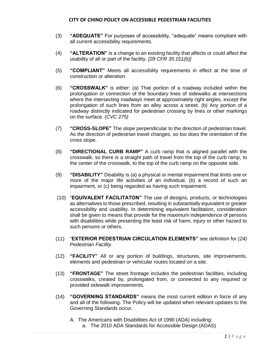- (3) **"ADEQUATE"** For purposes of accessibility, "adequate" means compliant with all current accessibility requirements.
- (4) **"ALTERATION"** is a change to an existing facility that affects or could affect the usability of all or part of the facility. *[28 CFR 35.151(b)]*
- (5) **"COMPLIANT"** Meets all accessibility requirements in effect at the time of construction or alteration.
- (6) **"CROSSWALK"** is either: (a) That portion of a roadway included within the prolongation or connection of the boundary lines of sidewalks at intersections where the intersecting roadways meet at approximately right angles, except the prolongation of such lines from an alley across a street. (b) Any portion of a roadway distinctly indicated for pedestrian crossing by lines or other markings on the surface. (*CVC 275)*
- (7) **"CROSS-SLOPE"** The slope perpendicular to the direction of pedestrian travel. As the direction of pedestrian travel changes, so too does the orientation of the cross slope.
- (8) **"DIRECTIONAL CURB RAMP"** A curb ramp that is aligned parallel with the crosswalk, so there is a straight path of travel from the top of the curb ramp, to the center of the crosswalk, to the top of the curb ramp on the opposite side.
- (9) **"DISABILITY"** Disability is (a) a physical or mental impairment that limits one or more of the major life activities of an individual, (b) a record of such an impairment, or (c) being regarded as having such impairment.
- (10) "**EQUIVALENT FACILITATON"** The use of designs, products, or technologies as alternatives to those prescribed, resulting in substantially equivalent or greater accessibility and usability. In determining equivalent facilitation, consideration shall be given to means that provide for the maximum independence of persons with disabilities while presenting the least risk of harm, injury or other hazard to such persons or others.
- (11) "**EXTERIOR PEDESTRIAN CIRCULATION ELEMENTS"** see definition for *(24) Pedestrian Facility*.
- (12) **"FACILITY"** All or any portion of buildings, structures, site improvements, elements and pedestrian or vehicular routes located on a site.
- (13) **"FRONTAGE"** The street frontage includes the pedestrian facilities, including crosswalks, created by, prolongated from, or connected to any required or provided sidewalk improvements.
- (14) **"GOVERNING STANDARDS"** means the most current edition in force of any and all of the following. The Policy will be updated when relevant updates to the Governing Standards occur.
	- A. The Americans with Disabilities Act of 1990 (ADA) including:
		- a. The 2010 ADA Standards for Accessible Design (ADAS)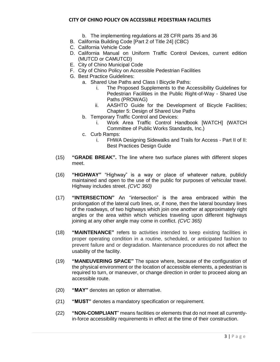- b. The implementing regulations at 28 CFR parts 35 and 36
- B. California Building Code [Part 2 of Title 24] (CBC)
- C. California Vehicle Code
- D. California Manual on Uniform Traffic Control Devices, current edition (MUTCD or CAMUTCD)
- E. City of Chino Municipal Code
- F. City of Chino Policy on Accessible Pedestrian Facilities
- G. Best Practice Guidelines:
	- a. Shared Use Paths and Class I Bicycle Paths:
		- i. The Proposed Supplements to the Accessibility Guidelines for Pedestrian Facilities in the Public Right-of-Way - Shared Use Paths (PROWAG)
		- ii. AASHTO Guide for the Development of Bicycle Facilities; Chapter 5: Design of Shared Use Paths
	- b. Temporary Traffic Control and Devices:
		- i. Work Area Traffic Control Handbook [WATCH] (WATCH Committee of Public Works Standards, Inc.)
	- c. Curb Ramps:
		- i. FHWA Designing Sidewalks and Trails for Access Part II of II: Best Practices Design Guide
- (15) **"GRADE BREAK".** The line where two surface planes with different slopes meet.
- (16) **"HIGHWAY"** "Highway" is a way or place of whatever nature, publicly maintained and open to the use of the public for purposes of vehicular travel. Highway includes street. *(CVC 360)*
- (17) **"INTERSECTION"** An "intersection" is the area embraced within the prolongation of the lateral curb lines, or, if none, then the lateral boundary lines of the roadways, of two highways which join one another at approximately right angles or the area within which vehicles traveling upon different highways joining at any other angle may come in conflict. *(CVC 365)*
- (18) **"MAINTENANCE"** refers to activities intended to keep existing facilities in proper operating condition in a routine, scheduled, or anticipated fashion to prevent failure and or degradation. Maintenance procedures do not affect the usability of the facility.
- (19) **"MANEUVERING SPACE"** The space where, because of the configuration of the physical environment or the location of accessible elements, a pedestrian is required to turn, or maneuver, or change direction in order to proceed along an accessible route.
- (20) **"MAY"** denotes an option or alternative.
- (21) **"MUST"** denotes a mandatory specification or requirement.
- (22) **"NON-COMPLIANT**" means facilities or elements that do not meet all currentlyin-force accessibility requirements in effect at the time of their construction.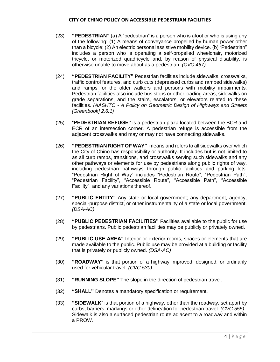- (23) **"PEDESTRIAN"** (a) A "pedestrian" is a person who is afoot or who is using any of the following: (1) A means of conveyance propelled by human power other than a bicycle; (2) An electric personal assistive mobility device. (b) "Pedestrian" includes a person who is operating a self-propelled wheelchair, motorized tricycle, or motorized quadricycle and, by reason of physical disability, is otherwise unable to move about as a pedestrian. *(CVC 467)*
- (24) **"PEDESTRIAN FACILITY"** Pedestrian facilities include sidewalks, crosswalks, traffic control features, and curb cuts (depressed curbs and ramped sidewalks) and ramps for the older walkers and persons with mobility impairments. Pedestrian facilities also include bus stops or other loading areas, sidewalks on grade separations, and the stairs, escalators, or elevators related to these facilities. *(AASHTO - A Policy on Geometric Design of Highways and Streets [Greenbook] 2.6.1)*
- (25) "**PEDESTRIAN REFUGE"** is a pedestrian plaza located between the BCR and ECR of an intersection corner. A pedestrian refuge is accessible from the adjacent crosswalks and may or may not have connecting sidewalks.
- (26) **"PEDESTRIAN RIGHT OF WAY"** means and refers to all sidewalks over which the City of Chino has responsibility or authority. It includes but is not limited to as all curb ramps, transitions, and crosswalks serving such sidewalks and any other pathways or elements for use by pedestrians along public rights of way, including pedestrian pathways through public facilities and parking lots. "Pedestrian Right of Way" includes "Pedestrian Route", "Pedestrian Path", "Pedestrian Facility", "Accessible Route", "Accessible Path", "Accessible Facility", and any variations thereof.
- (27) **"PUBLIC ENTITY"** Any state or local government; any department, agency, special-purpose district, or other instrumentality of a state or local government. *(DSA-AC)*
- (28) **"PUBLIC PEDESTRIAN FACILITIES"** Facilities available to the public for use by pedestrians. Public pedestrian facilities may be publicly or privately owned.
- (29) **"PUBLIC USE AREA"** Interior or exterior rooms, spaces or elements that are made available to the public. Public use may be provided at a building or facility that is privately or publicly owned. *(DSA-AC)*
- (30) **"ROADWAY"** is that portion of a highway improved, designed, or ordinarily used for vehicular travel. *(CVC 530)*
- (31) **"RUNNING SLOPE"** The slope in the direction of pedestrian travel.
- (32) **"SHALL"** Denotes a mandatory specification or requirement.
- (33) **"SIDEWALK**" is that portion of a highway, other than the roadway, set apart by curbs, barriers, markings or other delineation for pedestrian travel. *(CVC 555)* Sidewalk is also a surfaced pedestrian route adjacent to a roadway and within a PROW.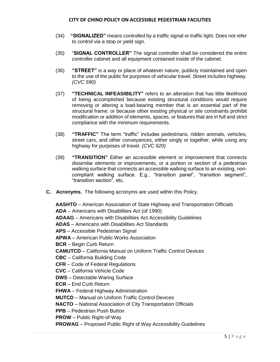- (34) **"SIGNALIZED"** means controlled by a traffic signal or traffic light. Does not refer to control via a stop or yield sign.
- (35) "**SIGNAL CONTROLLER"** The signal controller shall be considered the entire controller cabinet and all equipment contained inside of the cabinet.
- (36) **"STREET"** is a way or place of whatever nature, publicly maintained and open to the use of the public for purposes of vehicular travel. Street includes highway. *(CVC 590)*
- (37) **"TECHNICAL INFEASIBILITY"** refers to an alteration that has little likelihood of being accomplished because existing structural conditions would require removing or altering a load-bearing member that is an essential part of the structural frame; or because other existing physical or site constraints prohibit modification or addition of elements, spaces, or features that are in full and strict compliance with the minimum requirements.
- (38) **"TRAFFIC"** The term "traffic" includes pedestrians, ridden animals, vehicles, street cars, and other conveyances, either singly or together, while using any highway for purposes of travel. *(CVC 620)*
- (39) **"TRANSITION"** Either an accessible element or improvement that connects dissimilar elements or improvements, or a portion or section of a pedestrian walking surface that connects an accessible walking surface to an existing, noncompliant walking surface. E.g., "transition panel", "transition segment", "transition section", etc.
- **C. Acronyms.** The following acronyms are used within this Policy.

**AASHTO** – American Association of State Highway and Transportation Officials **ADA** – Americans with Disabilities Act (of 1990)

**ADAAG** – Americans with Disabilities Act Accessibility Guidelines

**ADAS** – Americans with Disabilities Act Standards

**APS** – Accessible Pedestrian Signal

**APWA** – American Public Works Association

**BCR** – Begin Curb Return

**CAMUTCD** – California Manual on Uniform Traffic Control Devices

**CBC** – California Building Code

**CFR** – Code of Federal Regulations

**CVC** – California Vehicle Code

**DWS** – Detectable Waring Surface

**ECR** – End Curb Return

**FHWA** – Federal Highway Administration

**MUTCD** – Manual on Uniform Traffic Control Devices

**NACTO** – National Association of City Transportation Officials

**PPB** – Pedestrian Push Button

**PROW** – Public Right-of-Way

**PROWAG** – Proposed Public Right of Way Accessibility Guidelines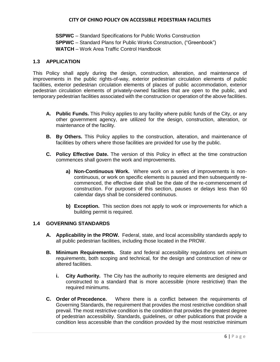**SSPWC** – Standard Specifications for Public Works Construction **SPPWC** – Standard Plans for Public Works Construction, ("Greenbook") **WATCH** – Work Area Traffic Control Handbook

## **1.3 APPLICATION**

This Policy shall apply during the design, construction, alteration, and maintenance of improvements in the public rights-of-way, exterior pedestrian circulation elements of public facilities, exterior pedestrian circulation elements of places of public accommodation, exterior pedestrian circulation elements of privately-owned facilities that are open to the public, and temporary pedestrian facilities associated with the construction or operation of the above facilities.

- **A. Public Funds.** This Policy applies to any facility where public funds of the City, or any other government agency, are utilized for the design, construction, alteration, or maintenance of the facility.
- **B. By Others.** This Policy applies to the construction, alteration, and maintenance of facilities by others where those facilities are provided for use by the public.
- **C. Policy Effective Date.** The version of this Policy in effect at the time construction commences shall govern the work and improvements.
	- **a) Non-Continuous Work.** Where work on a series of improvements is noncontinuous, or work on specific elements is paused and then subsequently recommenced, the effective date shall be the date of the re-commencement of construction. For purposes of this section, pauses or delays less than 60 calendar days shall be considered continuous.
	- **b) Exception.** This section does not apply to work or improvements for which a building permit is required.

#### **1.4 GOVERNING STANDARDS**

- **A. Applicability in the PROW.** Federal, state, and local accessibility standards apply to all public pedestrian facilities, including those located in the PROW.
- **B. Minimum Requirements.** State and federal accessibility regulations set *minimum requirements*, both scoping and technical, for the design and construction of new or altered facilities.
	- **i. City Authority.** The City has the authority to require elements are designed and constructed to a standard that is more accessible (more restrictive) than the required minimums.
- **C. Order of Precedence.** Where there is a conflict between the requirements of Governing Standards, the requirement that provides the most restrictive condition shall prevail. The most restrictive condition is the condition that provides the greatest degree of pedestrian accessibility. Standards, guidelines, or other publications that provide a condition less accessible than the condition provided by the most restrictive minimum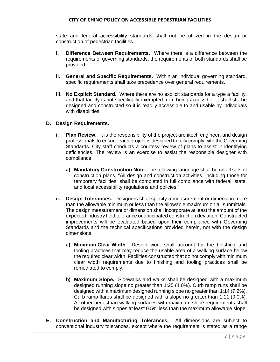state and federal accessibility standards shall not be utilized in the design or construction of pedestrian facilities.

- **i. Difference Between Requirements.** Where there is a difference between the requirements of governing standards, the requirements of both standards shall be provided.
- **ii. General and Specific Requirements.** Within an individual governing standard, specific requirements shall take precedence over general requirements.
- **iii. No Explicit Standard.** Where there are no explicit standards for a type a facility, and that facility is not specifically exempted from being accessible, it shall still be designed and constructed so it is readily accessible to and usable by individuals with disabilities.

#### **D. Design Requirements.**

- **i. Plan Review.** It is the responsibility of the project architect, engineer, and design professionals to ensure each project is designed to fully comply with the Governing Standards. City staff conducts a courtesy review of plans to assist in identifying deficiencies. The review is an exercise to assist the responsible designer with compliance.
	- **a) Mandatory Construction Note.** The following language shall be on all sets of construction plans. "All design and construction activities, including those for temporary facilities, shall be completed in full compliance with federal, state, and local accessibility regulations and policies."
- **ii. Design Tolerances.** Designers shall specify a measurement or dimension more than the allowable minimum or less than the allowable maximum on all submittals. The design measurement or dimension shall incorporate at least the amount of the expected industry field tolerance or anticipated construction deviation. Constructed improvements will be evaluated based upon their compliance with Governing Standards and the technical specifications provided herein, not with the design dimensions.
	- **a) Minimum Clear Width.** Design work shall account for the finishing and tooling practices that may reduce the usable area of a walking surface below the required clear width. Facilities constructed that do not comply with minimum clear width requirements due to finishing and tooling practices shall be remediated to comply.
	- **b) Maximum Slope.** Sidewalks and walks shall be designed with a maximum designed running slope no greater than 1:25 (4.0%). Curb ramp runs shall be designed with a maximum designed running slope no greater than 1:14 (7.2%). Curb ramp flares shall be designed with a slope no greater than 1:11 (9.0%). All other pedestrian walking surfaces with maximum slope requirements shall be designed with slopes at least 0.5% less than the maximum allowable slope.
- **E. Construction and Manufacturing Tolerances.** All dimensions are subject to conventional industry tolerances, except where the requirement is stated as a range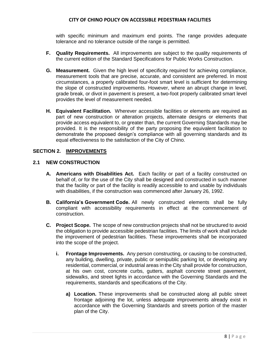with specific minimum and maximum end points. The range provides adequate tolerance and no tolerance outside of the range is permitted.

- **F. Quality Requirements.** All improvements are subject to the quality requirements of the current edition of the Standard Specifications for Public Works Construction.
- **G. Measurement.** Given the high level of specificity required for achieving compliance, measurement tools that are precise, accurate, and consistent are preferred. In most circumstances, a properly calibrated four-foot smart level is sufficient for determining the slope of constructed improvements. However, where an abrupt change in level, grade break, or divot in pavement is present, a two-foot properly calibrated smart level provides the level of measurement needed.
- **H. Equivalent Facilitation.** Wherever accessible facilities or elements are required as part of new construction or alteration projects, alternate designs or elements that provide access equivalent to, or greater than, the current Governing Standards may be provided. It is the responsibility of the party proposing the equivalent facilitation to demonstrate the proposed design's compliance with all governing standards and its equal effectiveness to the satisfaction of the City of Chino.

#### **SECTION 2. IMPROVEMENTS**

#### **2.1 NEW CONSTRUCTION**

- **A. Americans with Disabilities Act.** Each facility or part of a facility constructed on behalf of, or for the use of the City shall be designed and constructed in such manner that the facility or part of the facility is readily accessible to and usable by individuals with disabilities, if the construction was commenced after January 26, 1992.
- **B. California's Government Code.** All newly constructed elements shall be fully compliant with accessibility requirements in effect at the commencement of construction.
- **C. Project Scope.** The scope of new construction projects shall not be structured to avoid the obligation to provide accessible pedestrian facilities. The limits of work shall include the improvement of pedestrian facilities. These improvements shall be incorporated into the scope of the project.
	- **i. Frontage Improvements.** Any person constructing, or causing to be constructed, any building, dwelling, private, public or semipublic parking lot, or developing any residential, commercial, or industrial areas in the City shall provide for construction, at his own cost, concrete curbs, gutters, asphalt concrete street pavement, sidewalks, and street lights in accordance with the Governing Standards and the requirements, standards and specifications of the City.
		- **a) Location.** These improvements shall be constructed along all public street frontage adjoining the lot, unless adequate improvements already exist in accordance with the Governing Standards and streets portion of the master plan of the City.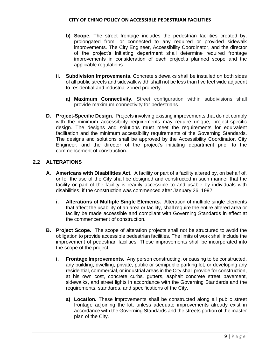- **b) Scope.** The street frontage includes the pedestrian facilities created by, prolongated from, or connected to any required or provided sidewalk improvements. The City Engineer, Accessibility Coordinator, and the director of the project's initiating department shall determine required frontage improvements in consideration of each project's planned scope and the applicable regulations.
- **ii. Subdivision Improvements.** Concrete sidewalks shall be installed on both sides of all public streets and sidewalk width shall not be less than five feet wide adjacent to residential and industrial zoned property.
	- **a) Maximum Connectivity.** Street configuration within subdivisions shall provide maximum connectivity for pedestrians.
- **D. Project-Specific Design.** Projects involving existing improvements that do not comply with the minimum accessibility requirements may require unique, project-specific design. The designs and solutions must meet the requirements for equivalent facilitation and the minimum accessibility requirements of the Governing Standards. The designs and solutions shall be approved by the Accessibility Coordinator, City Engineer, and the director of the project's initiating department prior to the commencement of construction.

## **2.2 ALTERATIONS**

- **A. Americans with Disabilities Act.** A facility or part of a facility altered by, on behalf of, or for the use of the City shall be designed and constructed in such manner that the facility or part of the facility is readily accessible to and usable by individuals with disabilities, if the construction was commenced after January 26, 1992.
	- **i. Alterations of Multiple Single Elements.** Alteration of multiple single elements that affect the usability of an area or facility, shall require the entire altered area or facility be made accessible and compliant with Governing Standards in effect at the commencement of construction.
- **B. Project Scope.** The scope of alteration projects shall not be structured to avoid the obligation to provide accessible pedestrian facilities. The limits of work shall include the improvement of pedestrian facilities. These improvements shall be incorporated into the scope of the project.
	- **i. Frontage Improvements.** Any person constructing, or causing to be constructed, any building, dwelling, private, public or semipublic parking lot, or developing any residential, commercial, or industrial areas in the City shall provide for construction, at his own cost, concrete curbs, gutters, asphalt concrete street pavement, sidewalks, and street lights in accordance with the Governing Standards and the requirements, standards, and specifications of the City.
		- **a) Location.** These improvements shall be constructed along all public street frontage adjoining the lot, unless adequate improvements already exist in accordance with the Governing Standards and the streets portion of the master plan of the City.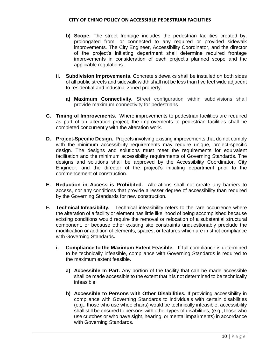- **b) Scope.** The street frontage includes the pedestrian facilities created by, prolongated from, or connected to any required or provided sidewalk improvements. The City Engineer, Accessibility Coordinator, and the director of the project's initiating department shall determine required frontage improvements in consideration of each project's planned scope and the applicable regulations.
- **ii. Subdivision Improvements.** Concrete sidewalks shall be installed on both sides of all public streets and sidewalk width shall not be less than five feet wide adjacent to residential and industrial zoned property.
	- **a) Maximum Connectivity.** Street configuration within subdivisions shall provide maximum connectivity for pedestrians.
- **C. Timing of Improvements.** Where improvements to pedestrian facilities are required as part of an alteration project, the improvements to pedestrian facilities shall be completed concurrently with the alteration work.
- **D. Project-Specific Design.** Projects involving existing improvements that do not comply with the minimum accessibility requirements may require unique, project-specific design. The designs and solutions must meet the requirements for equivalent facilitation and the minimum accessibility requirements of Governing Standards. The designs and solutions shall be approved by the Accessibility Coordinator, City Engineer, and the director of the project's initiating department prior to the commencement of construction.
- **E. Reduction in Access is Prohibited.** Alterations shall not create any barriers to access, nor any conditions that provide a lesser degree of accessibility than required by the Governing Standards for new construction.
- **F. Technical Infeasibility.** Technical infeasibility refers to the rare occurrence where the alteration of a facility or element has little likelihood of being accomplished because existing conditions would require the removal or relocation of a substantial structural component, or because other existing site constraints unquestionably preclude the modification or addition of elements, spaces, or features which are in strict compliance with Governing Standards**.**
	- **i. Compliance to the Maximum Extent Feasible.** If full compliance is determined to be technically infeasible, compliance with Governing Standards is required to the maximum extent feasible.
		- **a) Accessible In Part.** Any portion of the facility that can be made accessible shall be made accessible to the extent that it is not determined to be technically infeasible.
		- **b) Accessible to Persons with Other Disabilities.** If providing accessibility in compliance with Governing Standards to individuals with certain disabilities (e.g., those who use wheelchairs) would be technically infeasible, accessibility shall still be ensured to persons with other types of disabilities, (e.g., those who use crutches or who have sight, hearing, or mental impairments) in accordance with Governing Standards.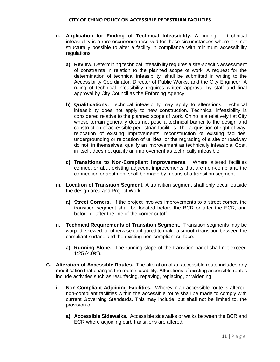- **ii. Application for Finding of Technical Infeasibility.** A finding of technical infeasibility is a rare occurrence reserved for those circumstances where it is not structurally possible to alter a facility in compliance with minimum accessibility regulations.
	- **a) Review.** Determining technical infeasibility requires a site-specific assessment of constraints in relation to the planned scope of work. A request for the determination of technical infeasibility, shall be submitted in writing to the Accessibility Coordinator, Director of Public Works, and the City Engineer. A ruling of technical infeasibility requires written approval by staff and final approval by City Council as the Enforcing Agency.
	- **b) Qualifications.** Technical infeasibility may apply to alterations. Technical infeasibility does not apply to new construction. Technical infeasibility is considered relative to the planned scope of work. Chino is a relatively flat City whose terrain generally does not pose a technical barrier to the design and construction of accessible pedestrian facilities. The acquisition of right of way, relocation of existing improvements, reconstruction of existing facilities, undergrounding or relocation of utilities, or the regrading of a site or roadway do not, in themselves, qualify an improvement as technically infeasible. Cost, in itself, does not qualify an improvement as technically infeasible.
	- **c) Transitions to Non-Compliant Improvements.** Where altered facilities connect or abut existing adjacent improvements that are non-compliant, the connection or abutment shall be made by means of a transition segment.
- **iii. Location of Transition Segment.** A transition segment shall only occur outside the design area and Project Work.
	- **a) Street Corners.** If the project involves improvements to a street corner, the transition segment shall be located before the BCR or after the ECR, and before or after the line of the corner cutoff.
- **ii. Technical Requirements of Transition Segment.** Transition segments may be warped, skewed, or otherwise configured to make a smooth transition between the compliant surface and the existing non-compliant surface.
	- **a) Running Slope.** The running slope of the transition panel shall not exceed 1:25 (4.0%).
- **G. Alteration of Accessible Routes.** The alteration of an accessible route includes any modification that changes the route's usability. Alterations of existing accessible routes include activities such as resurfacing, repaving, replacing, or widening.
	- **i. Non-Compliant Adjoining Facilities.** Wherever an accessible route is altered, non-compliant facilities within the accessible route shall be made to comply with current Governing Standards. This may include, but shall not be limited to, the provision of:
		- **a) Accessible Sidewalks.** Accessible sidewalks or walks between the BCR and ECR where adjoining curb transitions are altered.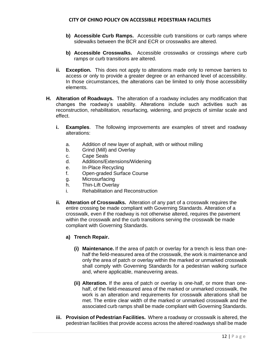- **b) Accessible Curb Ramps.** Accessible curb transitions or curb ramps where sidewalks between the BCR and ECR or crosswalks are altered.
- **b) Accessible Crosswalks.** Accessible crosswalks or crossings where curb ramps or curb transitions are altered.
- **ii. Exception.** This does not apply to alterations made only to remove barriers to access or only to provide a greater degree or an enhanced level of accessibility. In those circumstances, the alterations can be limited to only those accessibility elements.
- **H. Alteration of Roadways.** The alteration of a roadway includes any modification that changes the roadway's usability. Alterations include such activities such as reconstruction, rehabilitation*,* resurfacing*,* widening, and projects of similar scale and effect.
	- **i. Examples**. The following improvements are examples of street and roadway alterations:
		- a. Addition of new layer of asphalt, with or without milling
		- b. Grind (Mill) and Overlay
		- c. Cape Seals
		- d. Additions/Extensions/Widening
		- e. In‐Place Recycling
		- f. Open‐graded Surface Course
		- g. Microsurfacing
		- h. Thin‐Lift Overlay
		- i. Rehabilitation and Reconstruction
	- **ii. Alteration of Crosswalks.** Alteration of any part of a crosswalk requires the entire crossing be made compliant with Governing Standards. Alteration of a crosswalk, even if the roadway is not otherwise altered, requires the pavement within the crosswalk and the curb transitions serving the crosswalk be made compliant with Governing Standards.
		- **a) Trench Repair.**
			- **(i) Maintenance.** If the area of patch or overlay for a trench is less than onehalf the field-measured area of the crosswalk, the work is maintenance and only the area of patch or overlay within the marked or unmarked crosswalk shall comply with Governing Standards for a pedestrian walking surface and, where applicable, maneuvering areas.
			- **(ii) Alteration.** If the area of patch or overlay is one-half, or more than onehalf, of the field-measured area of the marked or unmarked crosswalk, the work is an alteration and requirements for crosswalk alterations shall be met. The entire clear width of the marked or unmarked crosswalk and the associated curb ramps shall be made compliant with Governing Standards.
	- **iii. Provision of Pedestrian Facilities.** Where a roadway or crosswalk is altered, the pedestrian facilities that provide access across the altered roadways shall be made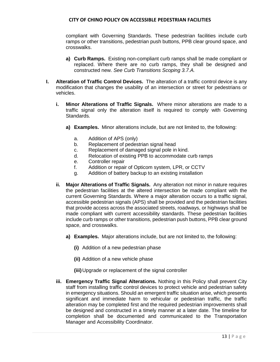compliant with Governing Standards. These pedestrian facilities include curb ramps or other transitions, pedestrian push buttons, PPB clear ground space, and crosswalks.

- **a) Curb Ramps.** Existing non-compliant curb ramps shall be made compliant or replaced. Where there are no curb ramps, they shall be designed and constructed new. *See Curb Transitions Scoping 3.7.A.*
- **I. Alteration of Traffic Control Devices.** The alteration of a traffic control device is any modification that changes the usability of an intersection or street for pedestrians or vehicles.
	- **i. Minor Alterations of Traffic Signals.** Where minor alterations are made to a traffic signal only the alteration itself is required to comply with Governing Standards.
		- **a) Examples.** Minor alterations include, but are not limited to, the following:
			- a. Addition of APS (only)
			- b. Replacement of pedestrian signal head
			- c. Replacement of damaged signal pole in kind.
			- d. Relocation of existing PPB to accommodate curb ramps
			- e. Controller repair
			- f. Addition or repair of Opticom system, LPR, or CCTV
			- g. Addition of battery backup to an existing installation
	- **ii. Major Alterations of Traffic Signals.** Any alteration not minor in nature requires the pedestrian facilities at the altered intersection be made compliant with the current Governing Standards. Where a major alteration occurs to a traffic signal, accessible pedestrian signals (APS) shall be provided and the pedestrian facilities that provide access across the associated streets, roadways, or highways shall be made compliant with current accessibility standards. These pedestrian facilities include curb ramps or other transitions, pedestrian push buttons, PPB clear ground space, and crosswalks.
		- **a) Examples.** Major alterations include, but are not limited to, the following:
			- **(i)** Addition of a new pedestrian phase
			- **(ii)** Addition of a new vehicle phase
			- **(iii)**Upgrade or replacement of the signal controller
	- **iii. Emergency Traffic Signal Alterations.** Nothing in this Policy shall prevent City staff from installing traffic control devices to protect vehicle and pedestrian safety in emergency situations. Should an emergent traffic situation arise, which presents significant and immediate harm to vehicular or pedestrian traffic, the traffic alteration may be completed first and the required pedestrian improvements shall be designed and constructed in a timely manner at a later date. The timeline for completion shall be documented and communicated to the Transportation Manager and Accessibility Coordinator.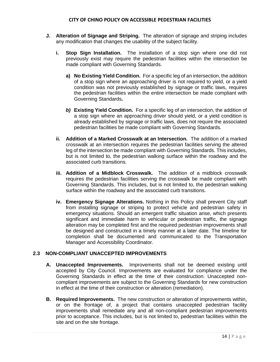- **J. Alteration of Signage and Striping.** The alteration of signage and striping includes any modification that changes the usability of the subject facility.
	- **i. Stop Sign Installation.** The installation of a stop sign where one did not previously exist may require the pedestrian facilities within the intersection be made compliant with Governing Standards.
		- **a) No Existing Yield Condition.** For a specific leg of an intersection, the addition of a stop sign where an approaching driver is not required to yield, or a yield condition was not previously established by signage or traffic laws, requires the pedestrian facilities within the entire intersection be made compliant with Governing Standards**.**
		- *b)* **Existing Yield Condition.** For a specific leg of an intersection, the addition of a stop sign where an approaching driver should yield, or a yield condition is already established by signage or traffic laws, does not require the associated pedestrian facilities be made compliant with Governing Standards.
	- **ii. Addition of a Marked Crosswalk at an Intersection.** The addition of a marked crosswalk at an intersection requires the pedestrian facilities serving the altered leg of the intersection be made compliant with Governing Standards. This includes, but is not limited to, the pedestrian walking surface within the roadway and the associated curb transitions.
	- **iii. Addition of a Midblock Crosswalk.** The addition of a midblock crosswalk requires the pedestrian facilities serving the crosswalk be made compliant with Governing Standards. This includes, but is not limited to, the pedestrian walking surface within the roadway and the associated curb transitions.
	- **iv. Emergency Signage Alterations.** Nothing in this Policy shall prevent City staff from installing signage or striping to protect vehicle and pedestrian safety in emergency situations. Should an emergent traffic situation arise, which presents significant and immediate harm to vehicular or pedestrian traffic, the signage alteration may be completed first and the required pedestrian improvements shall be designed and constructed in a timely manner at a later date. The timeline for completion shall be documented and communicated to the Transportation Manager and Accessibility Coordinator.

## **2.3 NON-COMPLIANT UNACCEPTED IMPROVEMENTS**

- **A. Unaccepted Improvements.** Improvements shall not be deemed existing until accepted by City Council. Improvements are evaluated for compliance under the Governing Standards in effect at the time of their construction. Unaccepted noncompliant improvements are subject to the Governing Standards for new construction in effect at the time of their construction or alteration (remediation).
- **B. Required Improvements.** The new construction or alteration of improvements within, or on the frontage of, a project that contains unaccepted pedestrian facility improvements shall remediate any and all non-compliant pedestrian improvements prior to acceptance. This includes, but is not limited to, pedestrian facilities within the site and on the site frontage.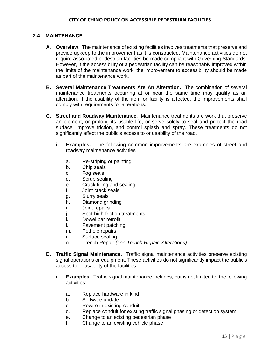## **2.4 MAINTENANCE**

- **A. Overview.** The maintenance of existing facilities involves treatments that preserve and provide upkeep to the improvement as it is constructed. Maintenance activities do not require associated pedestrian facilities be made compliant with Governing Standards. However, if the accessibility of a pedestrian facility can be reasonably improved within the limits of the maintenance work, the improvement to accessibility should be made as part of the maintenance work.
- **B. Several Maintenance Treatments Are An Alteration.** The combination of several maintenance treatments occurring at or near the same time may qualify as an alteration. If the usability of the item or facility is affected, the improvements shall comply with requirements for alterations.
- **C. Street and Roadway Maintenance.** Maintenance treatments are work that preserve an element, or prolong its usable life, or serve solely to seal and protect the road surface, improve friction, and control splash and spray. These treatments do not significantly affect the public's access to or usability of the road.
	- **i. Examples.** The following common improvements are examples of street and roadway maintenance activities
		- a. Re-striping or painting
		- b. Chip seals
		- c. Fog seals
		- d. Scrub sealing
		- e. Crack filling and sealing
		- f. Joint crack seals
		- g. Slurry seals
		- h. Diamond grinding
		- i. Joint repairs
		- j. Spot high-friction treatments
		- k. Dowel bar retrofit
		- l. Pavement patching
		- m. Pothole repairs
		- n. Surface sealing
		- o. Trench Repair *(see Trench Repair, Alterations)*
- **D. Traffic Signal Maintenance.** Traffic signal maintenance activities preserve existing signal operations or equipment. These activities do not significantly impact the public's access to or usability of the facilities.
	- **i. Examples.** Traffic signal maintenance includes, but is not limited to, the following activities:
		- a. Replace hardware in kind
		- b. Software update
		- c. Rewire in existing conduit
		- d. Replace conduit for existing traffic signal phasing or detection system
		- e. Change to an existing pedestrian phase
		- f. Change to an existing vehicle phase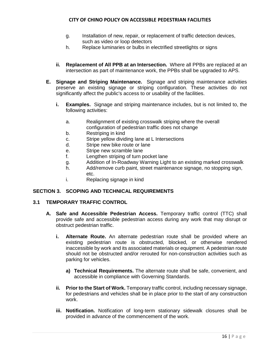- g. Installation of new, repair, or replacement of traffic detection devices, such as video or loop detectors
- h. Replace luminaries or bulbs in electrified streetlights or signs
- **ii. Replacement of All PPB at an Intersection.** Where all PPBs are replaced at an intersection as part of maintenance work, the PPBs shall be upgraded to APS.
- **E. Signage and Striping Maintenance.** Signage and striping maintenance activities preserve an existing signage or striping configuration. These activities do not significantly affect the public's access to or usability of the facilities.
	- **i. Examples.** Signage and striping maintenance includes, but is not limited to, the following activities:
		- a. Realignment of existing crosswalk striping where the overall configuration of pedestrian traffic does not change
		- b. Restriping in kind
		- c. Stripe yellow dividing lane at L Intersections
		- d. Stripe new bike route or lane
		- e. Stripe new scramble lane
		- f. Lengthen striping of turn pocket lane
		- g. Addition of In-Roadway Warning Light to an existing marked crosswalk
		- h. Add/remove curb paint, street maintenance signage, no stopping sign, etc.
		- i. Replacing signage in kind

## **SECTION 3. SCOPING AND TECHNICAL REQUIREMENTS**

## **3.1 TEMPORARY TRAFFIC CONTROL**

- **A. Safe and Accessible Pedestrian Access.** Temporary traffic control (TTC) shall provide safe and accessible pedestrian access during any work that may disrupt or obstruct pedestrian traffic.
	- **i. Alternate Route.** An alternate pedestrian route shall be provided where an existing pedestrian route is obstructed, blocked, or otherwise rendered inaccessible by work and its associated materials or equipment. A pedestrian route should not be obstructed and/or rerouted for non-construction activities such as parking for vehicles.
		- **a) Technical Requirements.** The alternate route shall be safe, convenient, and accessible in compliance with Governing Standards.
	- **ii. Prior to the Start of Work.** Temporary traffic control, including necessary signage, for pedestrians and vehicles shall be in place prior to the start of any construction work.
	- **iii. Notification.** Notification of long-term stationary sidewalk closures shall be provided in advance of the commencement of the work.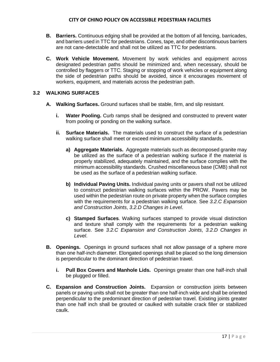- **B. Barriers.** Continuous edging shall be provided at the bottom of all fencing, barricades, and barriers used in TTC for pedestrians. Cones, tape, and other discontinuous barriers are not cane-detectable and shall not be utilized as TTC for pedestrians.
- **C. Work Vehicle Movement.** Movement by work vehicles and equipment across designated pedestrian paths should be minimized and, when necessary, should be controlled by flaggers or TTC. Staging or stopping of work vehicles or equipment along the side of pedestrian paths should be avoided, since it encourages movement of workers, equipment, and materials across the pedestrian path.

## **3.2 WALKING SURFACES**

- **A. Walking Surfaces.** Ground surfaces shall be stable, firm, and slip resistant.
	- **i.** Water Pooling. Curb ramps shall be designed and constructed to prevent water from pooling or ponding on the walking surface.
	- **ii. Surface Materials.** The materials used to construct the surface of a pedestrian walking surface shall meet or exceed minimum accessibility standards.
		- **a) Aggregate Materials.** Aggregate materials such as decomposed granite may be utilized as the surface of a pedestrian walking surface if the material is properly stabilized, adequately maintained, and the surface complies with the minimum accessibility standards. Crushed miscellaneous base (CMB) shall not be used as the surface of a pedestrian walking surface.
		- **b) Individual Paving Units.** Individual paving units or pavers shall not be utilized to construct pedestrian walking surfaces within the PROW. Pavers may be used within the pedestrian route on private property when the surface complies with the requirements for a pedestrian walking surface. See *3.2.C Expansion and Construction Joints*, *3.2.D Changes in Level*.
		- **c) Stamped Surfaces**. Walking surfaces stamped to provide visual distinction and texture shall comply with the requirements for a pedestrian walking surface. See *3.2.C Expansion and Construction Joints*, *3.2.D Changes in Level*.
- **B. Openings.** Openings in ground surfaces shall not allow passage of a sphere more than one half-inch diameter. Elongated openings shall be placed so the long dimension is perpendicular to the dominant direction of pedestrian travel.
	- **i. Pull Box Covers and Manhole Lids.** Openings greater than one half-inch shall be plugged or filled.
- **C. Expansion and Construction Joints.** Expansion or construction joints between panels or paving units shall not be greater than one half-inch wide and shall be oriented perpendicular to the predominant direction of pedestrian travel. Existing joints greater than one half inch shall be grouted or caulked with suitable crack filler or stabilized caulk.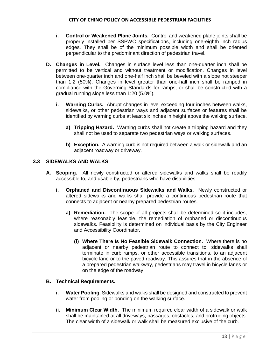- **i. Control or Weakened Plane Joints.** Control and weakened plane joints shall be properly installed per SSPWC specifications, including one-eighth inch radius edges. They shall be of the minimum possible width and shall be oriented perpendicular to the predominant direction of pedestrian travel.
- **D. Changes in Level.** Changes in surface level less than one-quarter inch shall be permitted to be vertical and without treatment or modification. Changes in level between one-quarter inch and one-half inch shall be beveled with a slope not steeper than 1:2 (50%). Changes in level greater than one-half inch shall be ramped in compliance with the Governing Standards for ramps, or shall be constructed with a gradual running slope less than 1:20 (5.0%).
	- **i. Warning Curbs.** Abrupt changes in level exceeding four inches between walks, sidewalks, or other pedestrian ways and adjacent surfaces or features shall be identified by warning curbs at least six inches in height above the walking surface.
		- **a) Tripping Hazard.** Warning curbs shall not create a tripping hazard and they shall not be used to separate two pedestrian ways or walking surfaces.
		- **b) Exception.** A warning curb is not required between a walk or sidewalk and an adjacent roadway or driveway.

## **3.3 SIDEWALKS AND WALKS**

- **A. Scoping.** All newly constructed or altered sidewalks and walks shall be readily accessible to, and usable by, pedestrians who have disabilities.
	- **i. Orphaned and Discontinuous Sidewalks and Walks.** Newly constructed or altered sidewalks and walks shall provide a continuous pedestrian route that connects to adjacent or nearby prepared pedestrian routes.
		- **a) Remediation.** The scope of all projects shall be determined so it includes, where reasonably feasible, the remediation of orphaned or discontinuous sidewalks. Feasibility is determined on individual basis by the City Engineer and Accessibility Coordinator.
			- **(i) Where There Is No Feasible Sidewalk Connection.** Where there is no adjacent or nearby pedestrian route to connect to, sidewalks shall terminate in curb ramps, or other accessible transitions, to an adjacent bicycle lane or to the paved roadway. This assures that in the absence of a prepared pedestrian walkway, pedestrians may travel in bicycle lanes or on the edge of the roadway.

#### **B. Technical Requirements.**

- **i. Water Pooling.** Sidewalks and walks shall be designed and constructed to prevent water from pooling or ponding on the walking surface.
- **ii. Minimum Clear Width.** The minimum required clear width of a sidewalk or walk shall be maintained at all driveways, passages, obstacles, and protruding objects. The clear width of a sidewalk or walk shall be measured exclusive of the curb.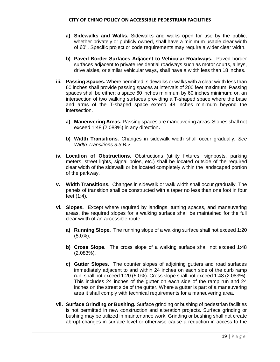- **a) Sidewalks and Walks.** Sidewalks and walks open for use by the public, whether privately or publicly owned, shall have a minimum usable clear width of 60''. Specific project or code requirements may require a wider clear width.
- **b) Paved Border Surfaces Adjacent to Vehicular Roadways.** Paved border surfaces adjacent to private residential roadways such as motor courts, alleys, drive aisles, or similar vehicular ways, shall have a width less than 18 inches.
- **iii. Passing Spaces.** Where permitted, sidewalks or walks with a clear width less than 60 inches shall provide passing spaces at intervals of 200 feet maximum. Passing spaces shall be either: a space 60 inches minimum by 60 inches minimum; or, an intersection of two walking surfaces providing a T-shaped space where the base and arms of the T-shaped space extend 48 inches minimum beyond the intersection.
	- **a) Maneuvering Areas.** Passing spaces are maneuvering areas. Slopes shall not exceed 1:48 (2.083%) in any direction**.**
	- **b) Width Transitions.** Changes in sidewalk width shall occur gradually. *See Width Transitions 3.3.B.v*
- **iv. Location of Obstructions.** Obstructions (utility fixtures, signposts, parking meters, street lights, signal poles, etc.) shall be located outside of the required clear width of the sidewalk or be located completely within the landscaped portion of the parkway.
- **v. Width Transitions.** Changes in sidewalk or walk width shall occur gradually. The panels of transition shall be constructed with a taper no less than one foot in four feet (1:4).
- **vi. Slopes.** Except where required by landings, turning spaces, and maneuvering areas, the required slopes for a walking surface shall be maintained for the full clear width of an accessible route.
	- **a) Running Slope.** The running slope of a walking surface shall not exceed 1:20 (5.0%).
	- **b) Cross Slope.** The cross slope of a walking surface shall not exceed 1:48 (2.083%).
	- **c) Gutter Slopes.** The counter slopes of adjoining gutters and road surfaces immediately adjacent to and within 24 inches on each side of the curb ramp run, shall not exceed 1:20 (5.0%). Cross slope shall not exceed 1:48 (2.083%). This includes 24 inches of the gutter on each side of the ramp run and 24 inches on the street side of the gutter. Where a gutter is part of a maneuvering area it shall comply with technical requirements for a maneuvering area.
- **vii. Surface Grinding or Bushing.** Surface grinding or bushing of pedestrian facilities is not permitted in new construction and alteration projects. Surface grinding or bushing may be utilized in maintenance work. Grinding or bushing shall not create abrupt changes in surface level or otherwise cause a reduction in access to the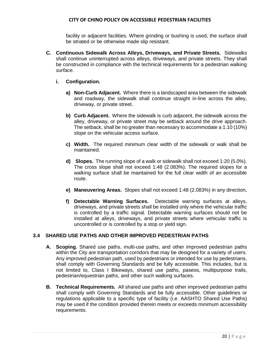facility or adjacent facilities. Where grinding or bushing is used, the surface shall be striated or be otherwise made slip resistant.

- **C. Continuous Sidewalk Across Alleys, Driveways, and Private Streets.** Sidewalks shall continue uninterrupted across alleys, driveways, and private streets. They shall be constructed in compliance with the technical requirements for a pedestrian walking *surface.*
	- **i. Configuration.**
		- **a) Non-Curb Adjacent.** Where there is a landscaped area between the sidewalk and roadway, the sidewalk shall continue straight in-line across the alley, driveway, or private street.
		- **b) Curb Adjacent.** Where the sidewalk is curb adjacent, the sidewalk across the alley, driveway, or private street may be setback around the drive approach. The setback, shall be no greater than necessary to accommodate a 1:10 (10%) slope on the vehicular access surface.
		- **c) Width.** The required minimum clear width of the sidewalk or walk shall be maintained.
		- **d) Slopes.** The running slope of a walk or sidewalk shall not exceed 1:20 (5.0%). The cross slope shall not exceed 1:48 (2.083%). The required slopes for a walking surface shall be maintained for the full clear width of an accessible route.
		- **e) Maneuvering Areas.** Slopes shall not exceed 1:48 (2.083%) in any direction**.**
		- **f) Detectable Warning Surfaces.** Detectable warning surfaces at alleys, driveways, and private streets shall be installed only where the vehicular traffic is controlled by a traffic signal. Detectable warning surfaces should not be installed at alleys, driveways, and private streets where vehicular traffic is uncontrolled or is controlled by a stop or yield sign.

# **3.4 SHARED USE PATHS AND OTHER IMPROVED PEDESTRIAN PATHS**

- **A. Scoping.** Shared use paths, multi-use paths, and other improved pedestrian paths within the City are transportation corridors that may be designed for a variety of users. Any improved pedestrian path, used by pedestrians or intended for use by pedestrians, shall comply with Governing Standards and be fully accessible. This includes, but is not limited to, Class I Bikeways, shared use paths, paseos, multipurpose trails, pedestrian/equestrian paths, and other such walking surfaces.
- **B. Technical Requirements.** All shared use paths and other improved pedestrian paths shall comply with Governing Standards and be fully accessible. Other guidelines or regulations applicable to a specific type of facility (i.e. AASHTO Shared Use Paths) may be used if the condition provided therein meets or exceeds minimum accessibility requirements.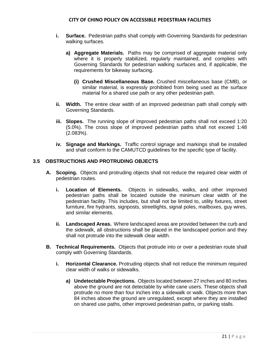- **i. Surface.** Pedestrian paths shall comply with Governing Standards for pedestrian walking surfaces.
	- **a) Aggregate Materials.** Paths may be comprised of aggregate material only where it is properly stabilized, regularly maintained, and complies with Governing Standards for pedestrian walking surfaces and, if applicable, the requirements for bikeway surfacing.
		- **(i) Crushed Miscellaneous Base.** Crushed miscellaneous base (CMB), or similar material, is expressly prohibited from being used as the surface material for a shared use path or any other pedestrian path.
- **ii.** Width. The entire clear width of an improved pedestrian path shall comply with Governing Standards.
- **iii. Slopes.** The running slope of improved pedestrian paths shall not exceed 1:20 (5.0%). The cross slope of improved pedestrian paths shall not exceed 1:48 (2.083%).
- **iv. Signage and Markings.** Traffic control signage and markings shall be installed and shall conform to the CAMUTCD guidelines for the specific type of facility.

## **3.5 OBSTRUCTIONS AND PROTRUDING OBJECTS**

- **A. Scoping.** Objects and protruding objects shall not reduce the required clear width of pedestrian routes.
	- **i. Location of Elements.** Objects in sidewalks, walks, and other improved pedestrian paths shall be located outside the minimum clear width of the pedestrian facility. This includes, but shall not be limited to, utility fixtures, street furniture, fire hydrants, signposts, streetlights, signal poles, mailboxes, guy wires, and similar elements.
	- **ii. Landscaped Areas.** Where landscaped areas are provided between the curb and the sidewalk, all obstructions shall be placed in the landscaped portion and they shall not protrude into the sidewalk clear width.
- **B. Technical Requirements.** Objects that protrude into or over a pedestrian route shall comply with Governing Standards.
	- **i. Horizontal Clearance.** Protruding objects shall not reduce the minimum required clear width of walks or sidewalks.
		- **a) Undetectable Projections.** Objects located between 27 inches and 80 inches above the ground are not detectable by white cane users. These objects shall protrude no more than four inches into a sidewalk or walk. Objects more than 84 inches above the ground are unregulated, except where they are installed on shared use paths, other improved pedestrian paths, or parking stalls.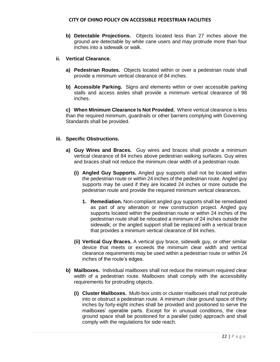**b) Detectable Projections.** Objects located less than 27 inches above the ground are detectable by white cane users and may protrude more than four inches into a sidewalk or walk.

## **ii. Vertical Clearance.**

- **a) Pedestrian Routes.** Objects located within or over a pedestrian route shall provide a minimum vertical clearance of 84 inches.
- **b) Accessible Parking.** Signs and elements within or over accessible parking stalls and access aisles shall provide a minimum vertical clearance of 98 inches.

**c) When Minimum Clearance Is Not Provided.** Where vertical clearance is less than the required minimum, guardrails or other barriers complying with Governing Standards shall be provided.

## **iii. Specific Obstructions.**

- **a) Guy Wires and Braces.** Guy wires and braces shall provide a minimum vertical clearance of 84 inches above pedestrian walking surfaces. Guy wires and braces shall not reduce the minimum clear width of a pedestrian route.
	- **(i) Angled Guy Supports.** Angled guy supports shall not be located within the pedestrian route or within 24 inches of the pedestrian route. Angled guy supports may be used if they are located 24 inches or more outside the pedestrian route and provide the required minimum vertical clearances.
		- **1. Remediation.** Non-compliant angled guy supports shall be remediated as part of any alteration or new construction project. Angled guy supports located within the pedestrian route or within 24 inches of the pedestrian route shall be relocated a minimum of 24 inches outside the sidewalk; or the angled support shall be replaced with a vertical brace that provides a minimum vertical clearance of 84 inches.
	- **(ii) Vertical Guy Braces.** A vertical guy brace, sidewalk guy, or other similar device that meets or exceeds the minimum clear width and vertical clearance requirements may be used within a pedestrian route or within 24 inches of the route's edges.
- **b) Mailboxes.** Individual mailboxes shall not reduce the minimum required clear width of a pedestrian route. Mailboxes shall comply with the accessibility requirements for protruding objects.
	- **(i) Cluster Mailboxes.** Multi-box units or cluster mailboxes shall not protrude into or obstruct a pedestrian route. A minimum clear ground space of thirty inches by forty-eight inches shall be provided and positioned to serve the mailboxes' operable parts. Except for in unusual conditions, the clear ground space shall be positioned for a parallel (side) approach and shall comply with the regulations for side reach.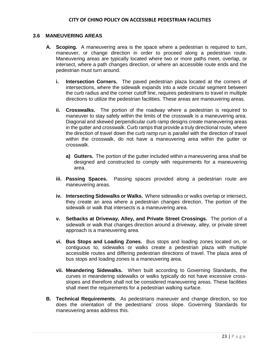## **3.6 MANEUVERING AREAS**

- **A. Scoping.** A maneuvering area is the space where a pedestrian is required to turn, maneuver, or change direction in order to proceed along a pedestrian route. Maneuvering areas are typically located where two or more paths meet, overlap, or intersect, where a path changes direction, or where an accessible route ends and the pedestrian must turn around.
	- **i. Intersection Corners.** The paved pedestrian plaza located at the corners of intersections, where the sidewalk expands into a wide circular segment between the curb radius and the corner cutoff line, requires pedestrians to travel in multiple directions to utilize the pedestrian facilities. These areas are maneuvering areas.
	- **ii. Crosswalks.** The portion of the roadway where a pedestrian is required to maneuver to stay safely within the limits of the crosswalk is a maneuvering area. Diagonal and skewed perpendicular curb ramp designs create maneuvering areas in the gutter and crosswalk. Curb ramps that provide a truly directional route, where the direction of travel down the curb ramp run is parallel with the direction of travel within the crosswalk, do not have a maneuvering area within the gutter or crosswalk.
		- **a) Gutters.** The portion of the gutter included within a maneuvering area shall be designed and constructed to comply with requirements for a maneuvering area.
	- **iii. Passing Spaces.** Passing spaces provided along a pedestrian route are maneuvering areas.
	- **iv. Intersecting Sidewalks or Walks.** Where sidewalks or walks overlap or intersect, they create an area where a pedestrian changes direction. The portion of the sidewalk or walk that intersects is a maneuvering area.
	- **v. Setbacks at Driveway, Alley, and Private Street Crossings.** The portion of a sidewalk or walk that changes direction around a driveway, alley, or private street approach is a maneuvering area.
	- **vi. Bus Stops and Loading Zones.** Bus stops and loading zones located on, or contiguous to, sidewalks or walks create a pedestrian plaza with multiple accessible routes and differing pedestrian directions of travel. The plaza area of bus stops and loading zones is a maneuvering area.
	- **vii. Meandering Sidewalks.** When built according to Governing Standards, the curves in meandering sidewalks or walks typically do not have excessive crossslopes and therefore shall not be considered maneuvering areas. These facilities shall meet the requirements for a pedestrian walking surface.
- **B. Technical Requirements.** As pedestrians maneuver and change direction, so too does the orientation of the pedestrians' cross slope. Governing Standards for maneuvering areas address this.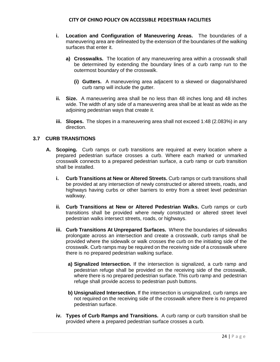- **i. Location and Configuration of Maneuvering Areas.** The boundaries of a maneuvering area are delineated by the extension of the boundaries of the walking surfaces that enter it.
	- **a) Crosswalks.** The location of any maneuvering area within a crosswalk shall be determined by extending the boundary lines of a curb ramp run to the outermost boundary of the crosswalk.
		- **(i) Gutters.** A maneuvering area adjacent to a skewed or diagonal/shared curb ramp will include the gutter.
- **ii. Size.** A maneuvering area shall be no less than 48 inches long and 48 inches wide. The width of any side of a maneuvering area shall be at least as wide as the adjoining pedestrian ways that create it.
- **iii. Slopes.** The slopes in a maneuvering area shall not exceed 1:48 (2.083%) in any direction.

## **3.7 CURB TRANSITIONS**

- **A. Scoping.** Curb ramps or curb transitions are required at every location where a prepared pedestrian surface crosses a curb. Where each marked or unmarked crosswalk connects to a prepared pedestrian surface, a curb ramp or curb transition shall be installed.
	- **i. Curb Transitions at New or Altered Streets.** Curb ramps or curb transitions shall be provided at any intersection of newly constructed or altered streets, roads, and highways having curbs or other barriers to entry from a street level pedestrian walkway.
	- **ii. Curb Transitions at New or Altered Pedestrian Walks.** Curb ramps or curb transitions shall be provided where newly constructed or altered street level pedestrian walks intersect streets, roads, or highways.
	- **iii. Curb Transitions At Unprepared Surfaces.** Where the boundaries of sidewalks prolongate across an intersection and create a crosswalk, curb ramps shall be provided where the sidewalk or walk crosses the curb on the initiating side of the crosswalk. Curb ramps may be required on the receiving side of a crosswalk where there is no prepared pedestrian walking surface.
		- **a) Signalized Intersection.** If the intersection is signalized, a curb ramp and pedestrian refuge shall be provided on the receiving side of the crosswalk, where there is no prepared pedestrian surface. This curb ramp and pedestrian refuge shall provide access to pedestrian push buttons.
		- **b) Unsignalized Intersection.** If the intersection is unsignalized, curb ramps are not required on the receiving side of the crosswalk where there is no prepared pedestrian surface.
	- **iv. Types of Curb Ramps and Transitions.** A curb ramp or curb transition shall be provided where a prepared pedestrian surface crosses a curb.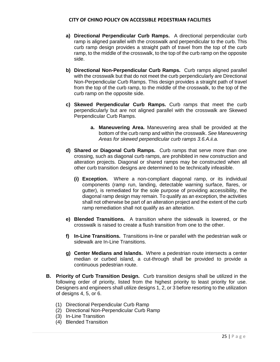- **a) Directional Perpendicular Curb Ramps.** A directional perpendicular curb ramp is aligned parallel with the crosswalk and perpendicular to the curb. This curb ramp design provides a straight path of travel from the top of the curb ramp, to the middle of the crosswalk, to the top of the curb ramp on the opposite side.
- **b) Directional Non-Perpendicular Curb Ramps.** Curb ramps aligned parallel with the crosswalk but that do not meet the curb perpendicularly are Directional Non-Perpendicular Curb Ramps. This design provides a straight path of travel from the top of the curb ramp, to the middle of the crosswalk, to the top of the curb ramp on the opposite side.
- **c) Skewed Perpendicular Curb Ramps.** Curb ramps that meet the curb perpendicularly but are not aligned parallel with the crosswalk are Skewed Perpendicular Curb Ramps.
	- **a. Maneuvering Area.** Maneuvering area shall be provided at the bottom of the curb ramp and within the crosswalk. *See Maneuvering Areas for skewed perpendicular curb ramps 3.6.A.ii.a.*
- **d) Shared or Diagonal Curb Ramps.** Curb ramps that serve more than one crossing, such as diagonal curb ramps, are prohibited in new construction and alteration projects. Diagonal or shared ramps may be constructed when all other curb transition designs are determined to be technically infeasible.
	- **(i) Exception.** Where a non-compliant diagonal ramp, or its individual components (ramp run, landing, detectable warning surface, flares, or gutter), is remediated for the sole purpose of providing accessibility, the diagonal ramp design may remain. To qualify as an exception, the activities shall not otherwise be part of an alteration project and the extent of the curb ramp remediation shall not qualify as an alteration.
- **e) Blended Transitions.** A transition where the sidewalk is lowered, or the crosswalk is raised to create a flush transition from one to the other.
- **f) In-Line Transitions.** Transitions in-line or parallel with the pedestrian walk or sidewalk are In-Line Transitions.
- **g) Center Medians and Islands.** Where a pedestrian route intersects a center median or curbed island, a cut-through shall be provided to provide a continuous pedestrian route.
- **B. Priority of Curb Transition Design.** Curb transition designs shall be utilized in the following order of priority, listed from the highest priority to least priority for use. Designers and engineers shall utilize designs 1, 2, or 3 before resorting to the utilization of designs 4, 5, or 6.
	- (1) Directional Perpendicular Curb Ramp
	- (2) Directional Non-Perpendicular Curb Ramp
	- (3) In-Line Transition
	- (4) Blended Transition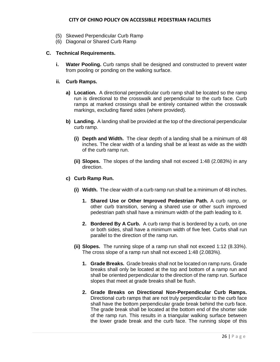- (5) Skewed Perpendicular Curb Ramp
- (6) Diagonal or Shared Curb Ramp

## **C. Technical Requirements.**

**i. Water Pooling.** Curb ramps shall be designed and constructed to prevent water from pooling or ponding on the walking surface.

## **ii. Curb Ramps.**

- **a) Location.** A directional perpendicular curb ramp shall be located so the ramp run is directional to the crosswalk and perpendicular to the curb face. Curb ramps at marked crossings shall be entirely contained within the crosswalk markings, excluding flared sides (where provided).
- **b) Landing.** A landing shall be provided at the top of the directional perpendicular curb ramp.
	- **(i) Depth and Width.** The clear depth of a landing shall be a minimum of 48 inches. The clear width of a landing shall be at least as wide as the width of the curb ramp run.
	- **(ii) Slopes.** The slopes of the landing shall not exceed 1:48 (2.083%) in any direction.

## **c) Curb Ramp Run.**

- **(i) Width.** The clear width of a curb ramp run shall be a minimum of 48 inches.
	- **1. Shared Use or Other Improved Pedestrian Path.** A curb ramp, or other curb transition, serving a shared use or other such improved pedestrian path shall have a minimum width of the path leading to it.
	- **2. Bordered By A Curb.** A curb ramp that is bordered by a curb, on one or both sides, shall have a minimum width of five feet. Curbs shall run parallel to the direction of the ramp run.
- **(ii) Slopes.** The running slope of a ramp run shall not exceed 1:12 (8.33%). The cross slope of a ramp run shall not exceed 1:48 (2.083%).
	- **1. Grade Breaks.** Grade breaks shall not be located on ramp runs. Grade breaks shall only be located at the top and bottom of a ramp run and shall be oriented perpendicular to the direction of the ramp run. Surface slopes that meet at grade breaks shall be flush.
	- **2. Grade Breaks on Directional Non-Perpendicular Curb Ramps.** Directional curb ramps that are not truly perpendicular to the curb face shall have the bottom perpendicular grade break behind the curb face. The grade break shall be located at the bottom end of the shorter side of the ramp run. This results in a triangular walking surface between the lower grade break and the curb face. The running slope of this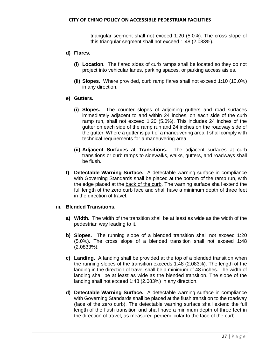triangular segment shall not exceed 1:20 (5.0%). The cross slope of this triangular segment shall not exceed 1:48 (2.083%).

#### **d) Flares.**

- **(i) Location.** The flared sides of curb ramps shall be located so they do not project into vehicular lanes, parking spaces, or parking access aisles.
- **(ii) Slopes.** Where provided, curb ramp flares shall not exceed 1:10 (10.0%) in any direction.

## **e) Gutters.**

- **(i) Slopes.** The counter slopes of adjoining gutters and road surfaces immediately adjacent to and within 24 inches, on each side of the curb ramp run, shall not exceed 1:20 (5.0%). This includes 24 inches of the gutter on each side of the ramp run and 24 inches on the roadway side of the gutter. Where a gutter is part of a maneuvering area it shall comply with technical requirements for a maneuvering area.
- **(ii) Adjacent Surfaces at Transitions.** The adjacent surfaces at curb transitions or curb ramps to sidewalks, walks, gutters, and roadways shall be flush.
- **f) Detectable Warning Surface.** A detectable warning surface in compliance with Governing Standards shall be placed at the bottom of the ramp run, with the edge placed at the back of the curb. The warning surface shall extend the full length of the zero curb face and shall have a minimum depth of three feet in the direction of travel.

## **iii. Blended Transitions.**

- **a) Width.** The width of the transition shall be at least as wide as the width of the pedestrian way leading to it.
- **b) Slopes.** The running slope of a blended transition shall not exceed 1:20 (5.0%). The cross slope of a blended transition shall not exceed 1:48 (2.0833%).
- **c) Landing.** A landing shall be provided at the top of a blended transition when the running slopes of the transition exceeds 1:48 (2.083%). The length of the landing in the direction of travel shall be a minimum of 48 inches. The width of landing shall be at least as wide as the blended transition. The slope of the landing shall not exceed 1:48 (2.083%) in any direction.
- **d) Detectable Warning Surface.** A detectable warning surface in compliance with Governing Standards shall be placed at the flush transition to the roadway (face of the zero curb). The detectable warning surface shall extend the full length of the flush transition and shall have a minimum depth of three feet in the direction of travel, as measured perpendicular to the face of the curb.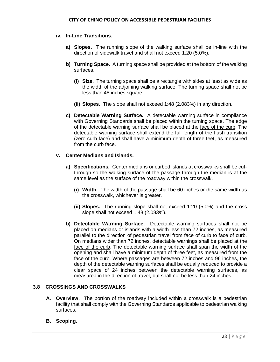## **iv. In-Line Transitions.**

- **a) Slopes.** The running slope of the walking surface shall be in-line with the direction of sidewalk travel and shall not exceed 1:20 (5.0%).
- **b) Turning Space.** A turning space shall be provided at the bottom of the walking surfaces.
	- **(i) Size.** The turning space shall be a rectangle with sides at least as wide as the width of the adjoining walking surface. The turning space shall not be less than 48 inches square.
	- **(ii) Slopes.** The slope shall not exceed 1:48 (2.083%) in any direction.
- **c) Detectable Warning Surface.** A detectable warning surface in compliance with Governing Standards shall be placed within the turning space. The edge of the detectable warning surface shall be placed at the face of the curb. The detectable warning surface shall extend the full length of the flush transition (zero curb face) and shall have a minimum depth of three feet, as measured from the curb face.

## **v. Center Medians and Islands.**

- **a) Specifications.** Center medians or curbed islands at crosswalks shall be cutthrough so the walking surface of the passage through the median is at the same level as the surface of the roadway within the crosswalk.
	- **(i) Width.** The width of the passage shall be 60 inches or the same width as the crosswalk, whichever is greater.
	- **(ii) Slopes.** The running slope shall not exceed 1:20 (5.0%) and the cross slope shall not exceed 1:48 (2.083%).
- **b) Detectable Warning Surface.** Detectable warning surfaces shall not be placed on medians or islands with a width less than 72 inches, as measured parallel to the direction of pedestrian travel from face of curb to face of curb. On medians wider than 72 inches, detectable warnings shall be placed at the face of the curb. The detectable warning surface shall span the width of the opening and shall have a minimum depth of three feet, as measured from the face of the curb. Where passages are between 72 inches and 96 inches, the depth of the detectable warning surfaces shall be equally reduced to provide a clear space of 24 inches between the detectable warning surfaces, as measured in the direction of travel, but shall not be less than 24 inches.

# **3.8 CROSSINGS AND CROSSWALKS**

- **A. Overview.** The portion of the roadway included within a crosswalk is a pedestrian facility that shall comply with the Governing Standards applicable to pedestrian walking surfaces.
- **B. Scoping.**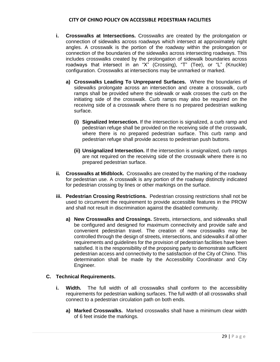- **i. Crosswalks at Intersections.** Crosswalks are created by the prolongation or connection of sidewalks across roadways which intersect at approximately right angles. A crosswalk is the portion of the roadway within the prolongation or connection of the boundaries of the sidewalks across intersecting roadways. This includes crosswalks created by the prolongation of sidewalk boundaries across roadways that intersect in an "X" (Crossing), "T" (Tee), or "L" (Knuckle) configuration. Crosswalks at intersections may be unmarked or marked.
	- **a) Crosswalks Leading To Unprepared Surfaces.** Where the boundaries of sidewalks prolongate across an intersection and create a crosswalk, curb ramps shall be provided where the sidewalk or walk crosses the curb on the initiating side of the crosswalk. Curb ramps may also be required on the receiving side of a crosswalk where there is no prepared pedestrian walking surface.
		- **(i) Signalized Intersection.** If the intersection is signalized, a curb ramp and pedestrian refuge shall be provided on the receiving side of the crosswalk, where there is no prepared pedestrian surface. This curb ramp and pedestrian refuge shall provide access to pedestrian push buttons.
		- **(ii) Unsignalized Intersection.** If the intersection is unsignalized, curb ramps are not required on the receiving side of the crosswalk where there is no prepared pedestrian surface.
- **ii. Crosswalks at Midblock.** Crosswalks are created by the marking of the roadway for pedestrian use. A crosswalk is any portion of the roadway distinctly indicated for pedestrian crossing by lines or other markings on the surface.
- **iii. Pedestrian Crossing Restrictions.** Pedestrian crossing restrictions shall not be used to circumvent the requirement to provide accessible features in the PROW and shall not result in discrimination against the disabled community.
	- **a) New Crosswalks and Crossings.** Streets, intersections, and sidewalks shall be configured and designed for maximum connectivity and provide safe and convenient pedestrian travel. The creation of new crosswalks may be controlled through the design of streets, intersections, and sidewalks if all other requirements and guidelines for the provision of pedestrian facilities have been satisfied. It is the responsibility of the proposing party to demonstrate sufficient pedestrian access and connectivity to the satisfaction of the City of Chino. This determination shall be made by the Accessibility Coordinator and City Engineer.

## **C. Technical Requirements.**

- **i. Width.** The full width of all crosswalks shall conform to the accessibility requirements for pedestrian walking surfaces. The full width of all crosswalks shall connect to a pedestrian circulation path on both ends.
	- **a) Marked Crosswalks.** Marked crosswalks shall have a minimum clear width of 6 feet inside the markings.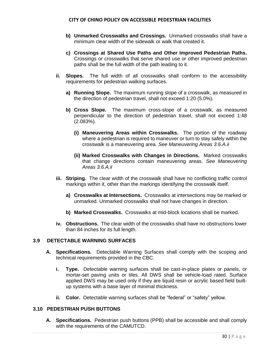- **b) Unmarked Crosswalks and Crossings.** Unmarked crosswalks shall have a minimum clear width of the sidewalk or walk that created it.
- **c) Crossings at Shared Use Paths and Other Improved Pedestrian Paths.** Crossings or crosswalks that serve shared use or other improved pedestrian paths shall be the full width of the path leading to it.
- **ii. Slopes.** The full width of all crosswalks shall conform to the accessibility requirements for pedestrian walking surfaces.
	- **a) Running Slope.** The maximum running slope of a crosswalk, as measured in the direction of pedestrian travel, shall not exceed 1:20 (5.0%).
	- **b) Cross Slope.** The maximum cross-slope of a crosswalk, as measured perpendicular to the direction of pedestrian travel, shall not exceed 1:48 (2.083%).
		- **(i) Maneuvering Areas within Crosswalks.** The portion of the roadway where a pedestrian is required to maneuver or turn to stay safely within the crosswalk is a maneuvering area. *See Maneuvering Areas 3.6.A.ii*
		- **(ii) Marked Crosswalks with Changes in Directions.** Marked crosswalks that change directions contain maneuvering areas. *See Maneuvering Areas 3.6.A.ii*
- **iii. Striping.** The clear width of the crosswalk shall have no conflicting traffic control markings within it, other than the markings identifying the crosswalk itself.
	- **a) Crosswalks at Intersections.** Crosswalks at intersections may be marked or unmarked. Unmarked crosswalks shall not have changes in direction.
	- **b) Marked Crosswalks.** Crosswalks at mid-block locations shall be marked.
- **iv. Obstructions.** The clear width of the crosswalks shall have no obstructions lower than 84 inches for its full length.

#### **3.9 DETECTABLE WARNING SURFACES**

- **A. Specifications.** Detectable Warning Surfaces shall comply with the scoping and technical requirements provided in the CBC.
	- **i. Type.** Detectable warning surfaces shall be cast-in-place plates or panels, or mortar-set paving units or tiles. All DWS shall be vehicle-load rated. Surface applied DWS may be used only if they are liquid resin or acrylic based field builtup systems with a base layer of minimal thickness.
	- **ii. Color.** Detectable warning surfaces shall be "federal" or "safety" yellow.

#### **3.10 PEDESTRIAN PUSH BUTTONS**

**A. Specifications.** Pedestrian push buttons (PPB) shall be accessible and shall comply with the requirements of the CAMUTCD.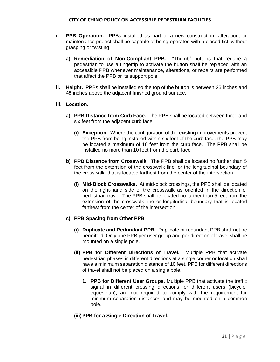- **i. PPB Operation.** PPBs installed as part of a new construction, alteration, or maintenance project shall be capable of being operated with a closed fist, without grasping or twisting.
	- **a) Remediation of Non-Compliant PPB.** "Thumb" buttons that require a pedestrian to use a fingertip to activate the button shall be replaced with an accessible PPB whenever maintenance, alterations, or repairs are performed that affect the PPB or its support pole.
- **ii. Height.** PPBs shall be installed so the top of the button is between 36 inches and 48 inches above the adjacent finished ground surface.

## **iii. Location.**

- **a) PPB Distance from Curb Face.** The PPB shall be located between three and six feet from the adjacent curb face.
	- **(i) Exception.** Where the configuration of the existing improvements prevent the PPB from being installed within six feet of the curb face, the PPB may be located a maximum of 10 feet from the curb face. The PPB shall be installed no more than 10 feet from the curb face.
- **b) PPB Distance from Crosswalk.** The PPB shall be located no further than 5 feet from the extension of the crosswalk line, or the longitudinal boundary of the crosswalk, that is located farthest from the center of the intersection.
	- **(i) Mid-Block Crosswalks.** At mid-block crossings, the PPB shall be located on the right-hand side of the crosswalk as oriented in the direction of pedestrian travel. The PPB shall be located no farther than 5 feet from the extension of the crosswalk line or longitudinal boundary that is located farthest from the center of the intersection.

## **c) PPB Spacing from Other PPB**

- **(i) Duplicate and Redundant PPB.** Duplicate or redundant PPB shall not be permitted. Only one PPB per user group and per direction of travel shall be mounted on a single pole.
- **(ii) PPB for Different Directions of Travel.** Multiple PPB that activate pedestrian phases in different directions at a single corner or location shall have a minimum separation distance of 10 feet. PPB for different directions of travel shall not be placed on a single pole.
	- **1. PPB for Different User Groups.** Multiple PPB that activate the traffic signal in different crossing directions for different users (bicycle, equestrian), are not required to comply with the requirement for minimum separation distances and may be mounted on a common pole.

## **(iii)PPB for a Single Direction of Travel.**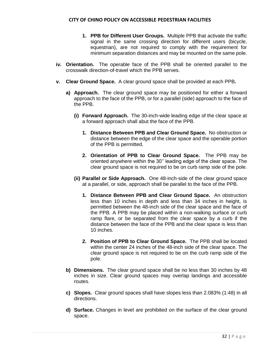- **1. PPB for Different User Groups.** Multiple PPB that activate the traffic signal in the same crossing direction for different users (bicycle, equestrian), are not required to comply with the requirement for minimum separation distances and may be mounted on the same pole.
- **iv. Orientation.** The operable face of the PPB shall be oriented parallel to the crosswalk direction-of-travel which the PPB serves.
- **v. Clear Ground Space.** A clear ground space shall be provided at each PPB**.** 
	- **a) Approach.** The clear ground space may be positioned for either a forward approach to the face of the PPB, or for a parallel (side) approach to the face of the PPB.
		- **(i) Forward Approach.** The 30-inch-wide leading edge of the clear space at a forward approach shall abut the face of the PPB.
			- **1. Distance Between PPB and Clear Ground Space.** No obstruction or distance between the edge of the clear space and the operable portion of the PPB is permitted.
			- **2. Orientation of PPB to Clear Ground Space.** The PPB may be oriented anywhere within the 30'' leading edge of the clear space. The clear ground space is not required to be on curb ramp side of the pole.
		- **(ii) Parallel or Side Approach.** One 48-inch-side of the clear ground space at a parallel, or side, approach shall be parallel to the face of the PPB.
			- **1. Distance Between PPB and Clear Ground Space.** An obstruction less than 10 inches in depth and less than 34 inches in height, is permitted between the 48-inch side of the clear space and the face of the PPB. A PPB may be placed within a non-walking surface or curb ramp flare, or be separated from the clear space by a curb if the distance between the face of the PPB and the clear space is less than 10 inches.
			- **2. Position of PPB to Clear Ground Space.** The PPB shall be located within the center 24 inches of the 48-inch side of the clear space. The clear ground space is not required to be on the curb ramp side of the pole.
	- **b) Dimensions.** The clear ground space shall be no less than 30 inches by 48 inches in size. Clear ground spaces may overlap landings and accessible routes.
	- **c) Slopes.** Clear ground spaces shall have slopes less than 2.083% (1:48) in all directions.
	- **d) Surface.** Changes in level are prohibited on the surface of the clear ground space.